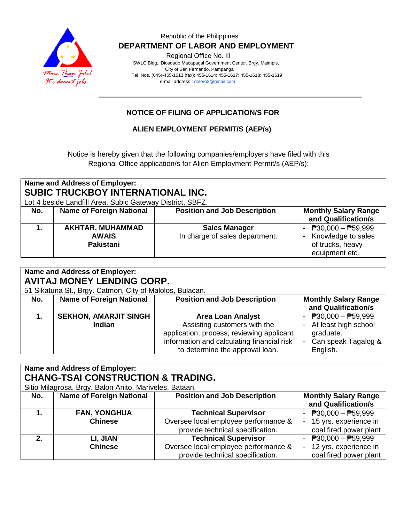

### Republic of the Philippines  **DEPARTMENT OF LABOR AND EMPLOYMENT**

Regional Office No. III

 SWLC Bldg., Diosdado Macapagal Government Center, Brgy. Maimpis, City of San Fernando, Pampanga Tel. Nos. (045)-455-1613 (fax): 455-1614; 455-1617; 455-1618; 455-1619 e-mail address [: dolero3@gmail.com](mailto:dolero3@gmail.com)

## **NOTICE OF FILING OF APPLICATION/S FOR**

### **ALIEN EMPLOYMENT PERMIT/S (AEP/s)**

Notice is hereby given that the following companies/employers have filed with this Regional Office application/s for Alien Employment Permit/s (AEP/s):

# **Name and Address of Employer: SUBIC TRUCKBOY INTERNATIONAL INC.**

Lot 4 beside Landfill Area, Subic Gateway District, SBFZ.

| No. | <b>Name of Foreign National</b>               | <b>Position and Job Description</b>                    | <b>Monthly Salary Range</b><br>and Qualification/s                                  |
|-----|-----------------------------------------------|--------------------------------------------------------|-------------------------------------------------------------------------------------|
|     | AKHTAR, MUHAMMAD<br><b>AWAIS</b><br>Pakistani | <b>Sales Manager</b><br>In charge of sales department. | - $P30,000 - P59,999$<br>- Knowledge to sales<br>of trucks, heavy<br>equipment etc. |

#### **Name and Address of Employer: AVITAJ MONEY LENDING CORP.**

51 Sikatuna St., Brgy. Catmon, City of Malolos, Bulacan.

| <b>U. Olitaria Ot., Digy. Odtinon, Oily of Maloloo, Dalaban.</b> |                                 |                                            |                                                    |
|------------------------------------------------------------------|---------------------------------|--------------------------------------------|----------------------------------------------------|
| No.                                                              | <b>Name of Foreign National</b> | <b>Position and Job Description</b>        | <b>Monthly Salary Range</b><br>and Qualification/s |
|                                                                  | <b>SEKHON, AMARJIT SINGH</b>    | <b>Area Loan Analyst</b>                   | - $P30,000 - P59,999$                              |
|                                                                  | <b>Indian</b>                   | Assisting customers with the               | - At least high school                             |
|                                                                  |                                 | application, process, reviewing applicant  | graduate.                                          |
|                                                                  |                                 | information and calculating financial risk | - Can speak Tagalog &                              |
|                                                                  |                                 | to determine the approval loan.            | English.                                           |

| Name and Address of Employer:<br><b>CHANG-TSAI CONSTRUCTION &amp; TRADING.</b> |                                 |                                      |                                           |
|--------------------------------------------------------------------------------|---------------------------------|--------------------------------------|-------------------------------------------|
| Sitio Milagrosa, Brgy. Balon Anito, Mariveles, Bataan.                         |                                 |                                      |                                           |
| No.                                                                            | <b>Name of Foreign National</b> | <b>Position and Job Description</b>  | <b>Monthly Salary Range</b>               |
|                                                                                |                                 |                                      | and Qualification/s                       |
|                                                                                | <b>FAN, YONGHUA</b>             | <b>Technical Supervisor</b>          | - $P30,000 - P59,999$                     |
|                                                                                | <b>Chinese</b>                  | Oversee local employee performance & | 15 yrs. experience in                     |
|                                                                                |                                 | provide technical specification.     | coal fired power plant                    |
| 2.                                                                             | LI, JIAN                        | <b>Technical Supervisor</b>          | $\overline{P}30,000 - \overline{P}59,999$ |
|                                                                                | <b>Chinese</b>                  | Oversee local employee performance & | 12 yrs. experience in                     |
|                                                                                |                                 | provide technical specification.     | coal fired power plant                    |